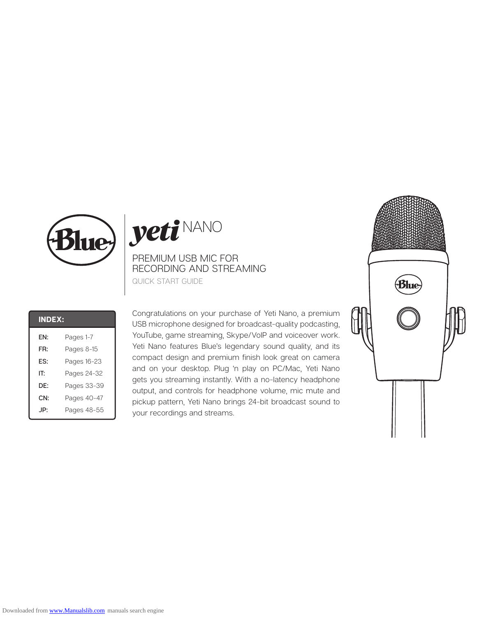

| yeti <sup>NANO</sup> |  |
|----------------------|--|
|----------------------|--|

PREMIUM USB MIC FOR RECORDING AND STREAMING QUICK START GUIDE

| <b>INDEX:</b> |             |  |
|---------------|-------------|--|
| EN:           | Pages 1-7   |  |
| FR·           | Pages 8-15  |  |
| FS:           | Pages 16-23 |  |
| IT:           | Pages 24-32 |  |
| DE:           | Pages 33-39 |  |
| CN:           | Pages 40-47 |  |
| JP:           | Pages 48-55 |  |

Congratulations on your purchase of Yeti Nano, a premium USB microphone designed for broadcast-quality podcasting, YouTube, game streaming, Skype/VoIP and voiceover work. Yeti Nano features Blue's legendary sound quality, and its compact design and premium finish look great on camera and on your desktop. Plug 'n play on PC/Mac, Yeti Nano gets you streaming instantly. With a no-latency headphone output, and controls for headphone volume, mic mute and pickup pattern, Yeti Nano brings 24-bit broadcast sound to your recordings and streams.

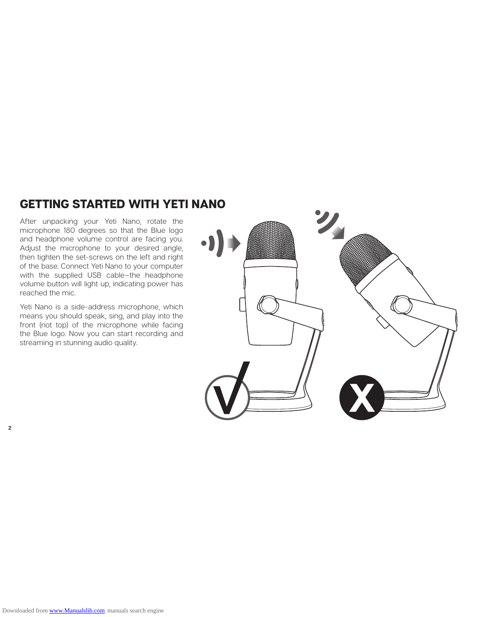# GETTING STARTED WITH YETI NANO

After unpacking your Yeti Nano, rotate the microphone 180 degrees so that the Blue logo and headphone volume control are facing you. Adjust the microphone to your desired angle, then tighten the set-screws on the left and right of the base. Connect Yeti Nano to your computer with the supplied USB cable—the headphone volume button will light up, indicating power has reached the mic.

Yeti Nano is a side-address microphone, which means you should speak, sing, and play into the front (not top) of the microphone while facing the Blue logo. Now you can start recording and streaming in stunning audio quality.



**2**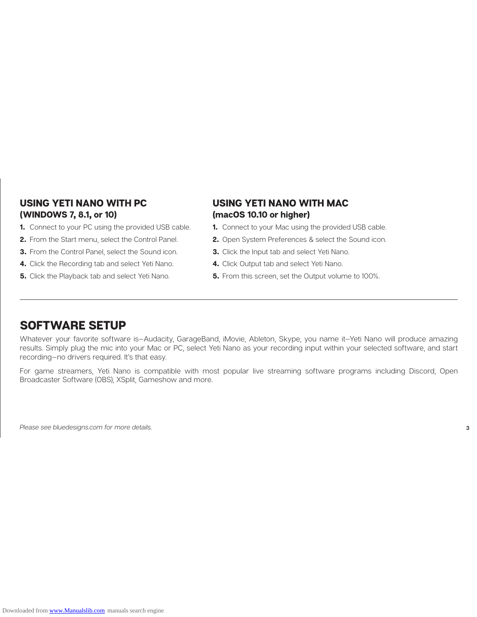#### USING YETI NANO WITH PC (WINDOWS 7, 8.1, or 10)

- 1. Connect to your PC using the provided USB cable.
- 2. From the Start menu, select the Control Panel.
- 3. From the Control Panel, select the Sound icon.
- 4. Click the Recording tab and select Yeti Nano.
- **5.** Click the Playback tab and select Yeti Nano.

### USING YETI NANO WITH MAC (macOS 10.10 or higher)

- 1. Connect to your Mac using the provided USB cable.
- 2. Open System Preferences & select the Sound icon.
- **3.** Click the Input tab and select Yeti Nano.
- 4. Click Output tab and select Yeti Nano.
- **5.** From this screen, set the Output volume to 100%.

## SOFTWARE SETUP

Whatever your favorite software is—Audacity, GarageBand, iMovie, Ableton, Skype, you name it—Yeti Nano will produce amazing results. Simply plug the mic into your Mac or PC, select Yeti Nano as your recording input within your selected software, and start recording—no drivers required. It's that easy.

For game streamers, Yeti Nano is compatible with most popular live streaming software programs including Discord, Open Broadcaster Software (OBS), XSplit, Gameshow and more.

*Please see bluedesigns.com for more details.*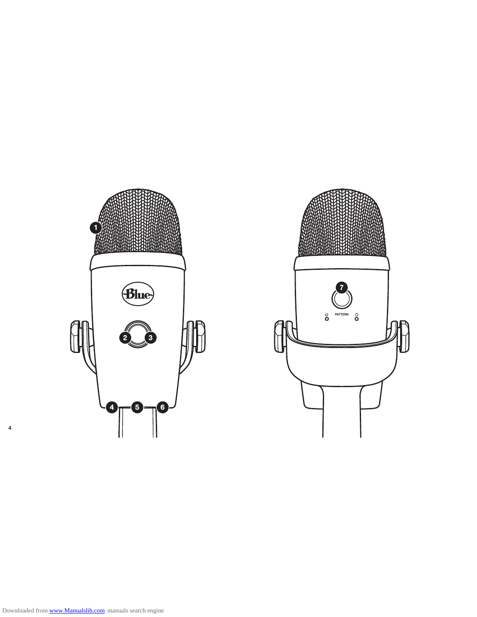

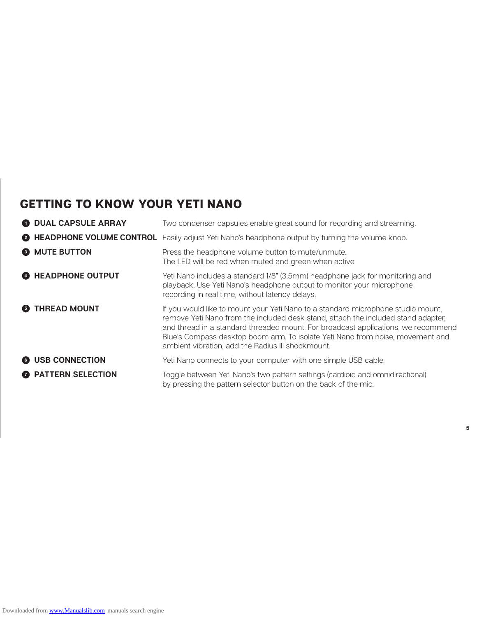# GETTING TO KNOW YOUR YETI NANO

|   | <b>O DUAL CAPSULE ARRAY</b>       | Two condenser capsules enable great sound for recording and streaming.                                                                                                                                                                                                                                                                                                                            |
|---|-----------------------------------|---------------------------------------------------------------------------------------------------------------------------------------------------------------------------------------------------------------------------------------------------------------------------------------------------------------------------------------------------------------------------------------------------|
|   | <b>@ HEADPHONE VOLUME CONTROL</b> | Easily adjust Yeti Nano's headphone output by turning the volume knob.                                                                                                                                                                                                                                                                                                                            |
|   | <b>6</b> MUTE BUTTON              | Press the headphone volume button to mute/unmute.<br>The LED will be red when muted and green when active.                                                                                                                                                                                                                                                                                        |
|   | <b>4 HEADPHONE OUTPUT</b>         | Yeti Nano includes a standard 1/8" (3.5mm) headphone jack for monitoring and<br>playback. Use Yeti Nano's headphone output to monitor your microphone<br>recording in real time, without latency delays.                                                                                                                                                                                          |
| 6 | <b>THREAD MOUNT</b>               | If you would like to mount your Yeti Nano to a standard microphone studio mount,<br>remove Yeti Nano from the included desk stand, attach the included stand adapter,<br>and thread in a standard threaded mount. For broadcast applications, we recommend<br>Blue's Compass desktop boom arm. To isolate Yeti Nano from noise, movement and<br>ambient vibration, add the Radius III shockmount. |
|   | <b>O</b> USB CONNECTION           | Yeti Nano connects to your computer with one simple USB cable.                                                                                                                                                                                                                                                                                                                                    |
|   | <b>2</b> PATTERN SELECTION        | Toggle between Yeti Nano's two pattern settings (cardioid and omnidirectional)<br>by pressing the pattern selector button on the back of the mic.                                                                                                                                                                                                                                                 |

**5**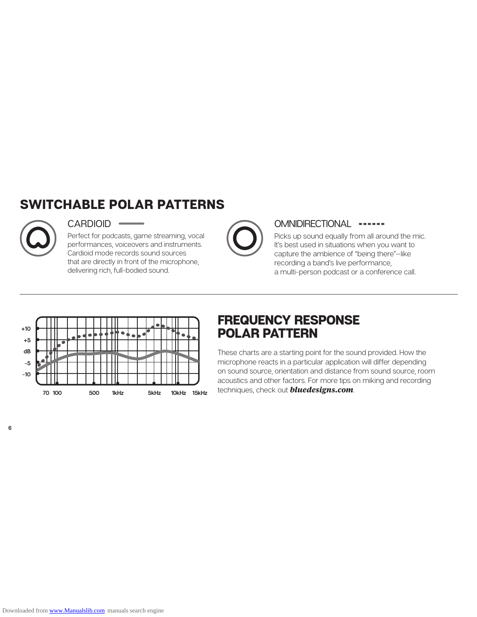# SWITCHABLE POLAR PATTERNS



## CARDIOID

Perfect for podcasts, game streaming, vocal performances, voiceovers and instruments. Cardioid mode records sound sources that are directly in front of the microphone, delivering rich, full-bodied sound.



#### OMNIDIRECTIONAL ------

Picks up sound equally from all around the mic. It's best used in situations when you want to capture the ambience of "being there"—like recording a band's live performance, a multi-person podcast or a conference call.



## FREQUENCY RESPONSE POLAR PATTERN

These charts are a starting point for the sound provided. How the microphone reacts in a particular application will differ depending on sound source, orientation and distance from sound source, room acoustics and other factors. For more tips on miking and recording techniques, check out *bluedesigns.com*.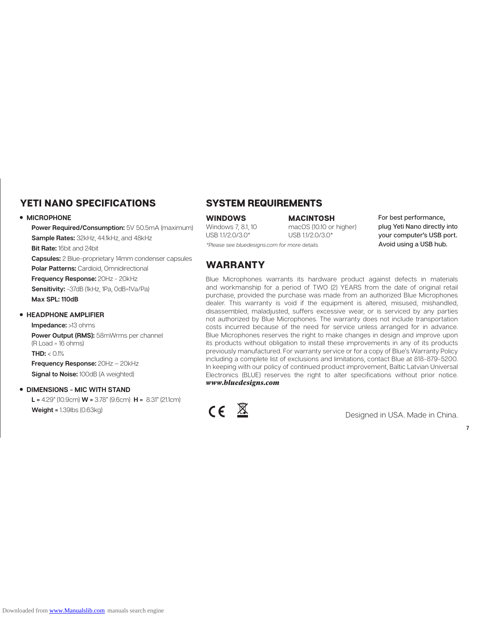## YETI NANO SPECIFICATIONS SYSTEM REQUIREMENTS

#### **• MICROPHONE**

**Power Required/Consumption:** 5V 50.5mA (maximum) **Sample Rates:** 32kHz, 44.1kHz, and 48kHz **Bit Rate:** 16bit and 24bit **Capsules:** 2 Blue-proprietary 14mm condenser capsules **Polar Patterns:** Cardioid, Omnidirectional **Frequency Response:** 20Hz - 20kHz **Sensitivity:** -37dB (1kHz, 1Pa, 0dB=1Va/Pa) **Max SPL: 110dB**

#### **HEADPHONE AMPLIFIER**

**Impedance:** >13 ohms **Power Output (RMS):** 58mWrms per channel (R Load = 16 ohms) **THD:** < 0.1% **Frequency Response:** 20Hz – 20kHz **Signal to Noise: 100dB (A weighted)** 

#### **DIMENSIONS - MIC WITH STAND**

**L =** 4.29" (10.9cm) **W =** 3.78" (9.6cm) **H =** 8.31" (21.1cm) **Weight =** 1.39lbs (0.63kg)

#### WINDOWS Windows 7, 8.1, 10

MACINTOSH macOS (10.10 or higher)

USB 1.1/2.0/3.0\* USB 1.1/2.0/3.0\*

WARRANTY

**For best performance, plug Yeti Nano directly into your computer's USB port.**  *\*Please see bluedesigns.com for more* details **Avoid using a USB hub.**

Blue Microphones warrants its hardware product against defects in materials and workmanship for a period of TWO (2) YEARS from the date of original retail purchase, provided the purchase was made from an authorized Blue Microphones dealer. This warranty is void if the equipment is altered, misused, mishandled, disassembled, maladjusted, suffers excessive wear, or is serviced by any parties not authorized by Blue Microphones. The warranty does not include transportation costs incurred because of the need for service unless arranged for in advance. Blue Microphones reserves the right to make changes in design and improve upon

its products without obligation to install these improvements in any of its products previously manufactured. For warranty service or for a copy of Blue's Warranty Policy including a complete list of exclusions and limitations, contact Blue at 818-879-5200. In keeping with our policy of continued product improvement, Baltic Latvian Universal Electronics (BLUE) reserves the right to alter specifications without prior notice. *www.bluedesigns.com*



Designed in USA. Made in China.